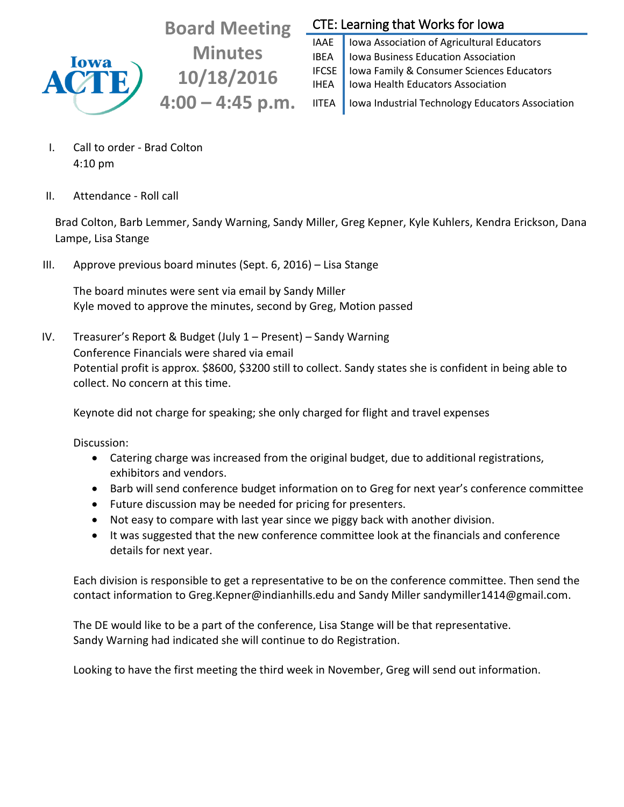

**Board Meeting Minutes 10/18/2016 4:00 – 4:45 p.m.**

## CTE: Learning that Works for Iowa

IAAE | Iowa Association of Agricultural Educators **IBEA** | Iowa Business Education Association IFCSE | Iowa Family & Consumer Sciences Educators IHEA | Iowa Health Educators Association IITEA | Iowa Industrial Technology Educators Association

I. Call to order - Brad Colton 4:10 pm

II. Attendance - Roll call

Brad Colton, Barb Lemmer, Sandy Warning, Sandy Miller, Greg Kepner, Kyle Kuhlers, Kendra Erickson, Dana Lampe, Lisa Stange

III. Approve previous board minutes (Sept. 6, 2016) – Lisa Stange

The board minutes were sent via email by Sandy Miller Kyle moved to approve the minutes, second by Greg, Motion passed

IV. Treasurer's Report & Budget (July 1 – Present) – Sandy Warning Conference Financials were shared via email Potential profit is approx. \$8600, \$3200 still to collect. Sandy states she is confident in being able to collect. No concern at this time.

Keynote did not charge for speaking; she only charged for flight and travel expenses

Discussion:

- Catering charge was increased from the original budget, due to additional registrations, exhibitors and vendors.
- Barb will send conference budget information on to Greg for next year's conference committee
- Future discussion may be needed for pricing for presenters.
- Not easy to compare with last year since we piggy back with another division.
- It was suggested that the new conference committee look at the financials and conference details for next year.

Each division is responsible to get a representative to be on the conference committee. Then send the contact information to Greg.Kepner@indianhills.edu and Sandy Miller sandymiller1414@gmail.com.

The DE would like to be a part of the conference, Lisa Stange will be that representative. Sandy Warning had indicated she will continue to do Registration.

Looking to have the first meeting the third week in November, Greg will send out information.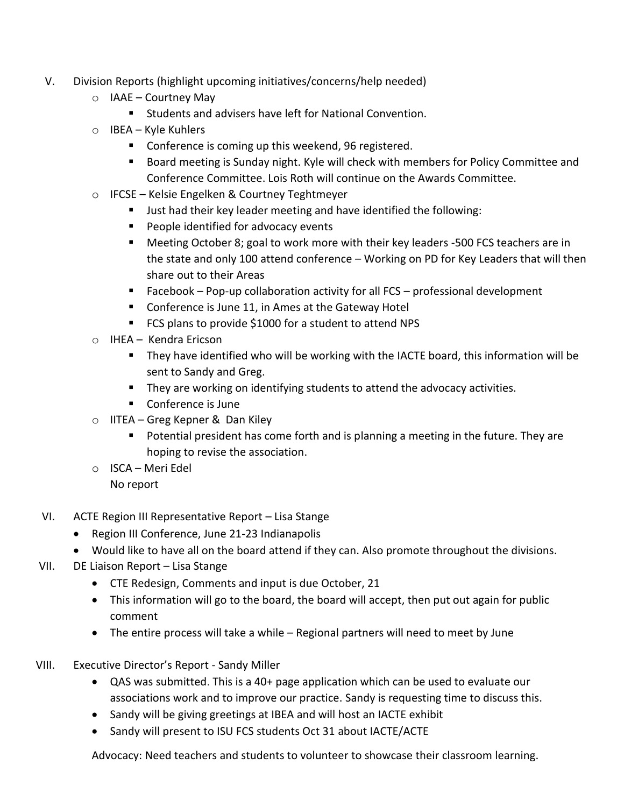- V. Division Reports (highlight upcoming initiatives/concerns/help needed)
	- $\circ$  IAAE Courtney May
		- Students and advisers have left for National Convention.
	- o IBEA Kyle Kuhlers
		- **Conference is coming up this weekend, 96 registered.**
		- **Board meeting is Sunday night. Kyle will check with members for Policy Committee and** Conference Committee. Lois Roth will continue on the Awards Committee.
	- o IFCSE Kelsie Engelken & Courtney Teghtmeyer
		- **Just had their key leader meeting and have identified the following:**
		- **People identified for advocacy events**
		- Meeting October 8; goal to work more with their key leaders -500 FCS teachers are in the state and only 100 attend conference – Working on PD for Key Leaders that will then share out to their Areas
		- Facebook Pop-up collaboration activity for all  $FCS$  professional development
		- **Conference is June 11, in Ames at the Gateway Hotel**
		- FCS plans to provide \$1000 for a student to attend NPS
	- o IHEA Kendra Ericson
		- They have identified who will be working with the IACTE board, this information will be sent to Sandy and Greg.
		- **They are working on identifying students to attend the advocacy activities.**
		- Conference is June
	- o IITEA Greg Kepner & Dan Kiley
		- **Potential president has come forth and is planning a meeting in the future. They are** hoping to revise the association.
	- o ISCA Meri Edel No report
- VI. ACTE Region III Representative Report Lisa Stange
	- Region III Conference, June 21-23 Indianapolis
	- Would like to have all on the board attend if they can. Also promote throughout the divisions.
- VII. DE Liaison Report Lisa Stange
	- CTE Redesign, Comments and input is due October, 21
	- This information will go to the board, the board will accept, then put out again for public comment
	- The entire process will take a while Regional partners will need to meet by June
- VIII. Executive Director's Report Sandy Miller
	- QAS was submitted. This is a 40+ page application which can be used to evaluate our associations work and to improve our practice. Sandy is requesting time to discuss this.
	- Sandy will be giving greetings at IBEA and will host an IACTE exhibit
	- Sandy will present to ISU FCS students Oct 31 about IACTE/ACTE

Advocacy: Need teachers and students to volunteer to showcase their classroom learning.